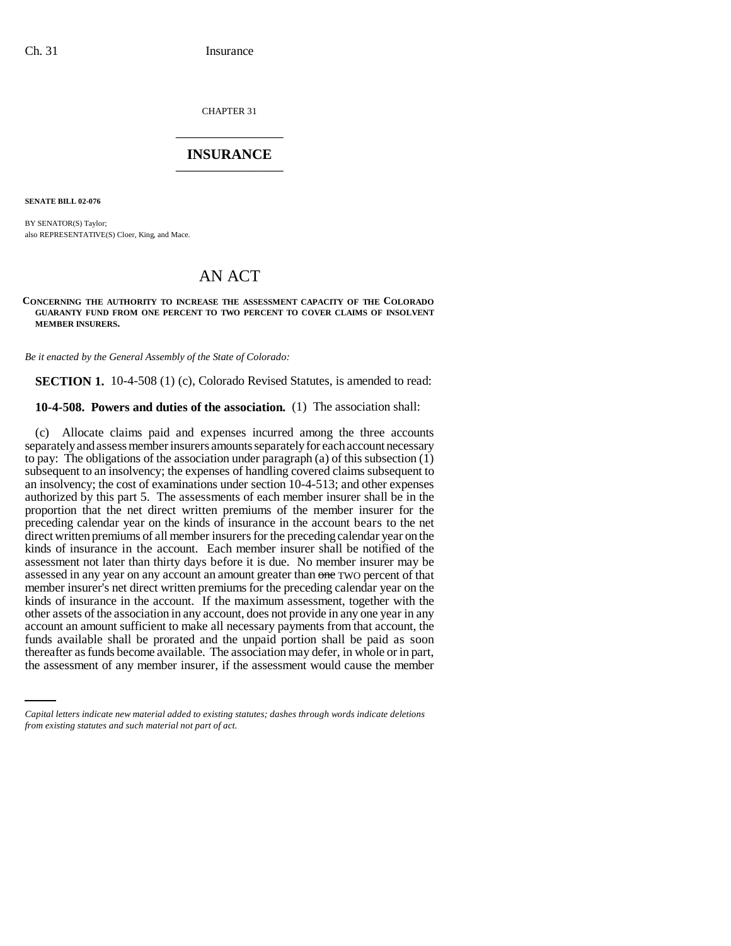CHAPTER 31 \_\_\_\_\_\_\_\_\_\_\_\_\_\_\_

## **INSURANCE** \_\_\_\_\_\_\_\_\_\_\_\_\_\_\_

**SENATE BILL 02-076**

BY SENATOR(S) Taylor; also REPRESENTATIVE(S) Cloer, King, and Mace.

# AN ACT

#### **CONCERNING THE AUTHORITY TO INCREASE THE ASSESSMENT CAPACITY OF THE COLORADO GUARANTY FUND FROM ONE PERCENT TO TWO PERCENT TO COVER CLAIMS OF INSOLVENT MEMBER INSURERS.**

*Be it enacted by the General Assembly of the State of Colorado:*

**SECTION 1.** 10-4-508 (1) (c), Colorado Revised Statutes, is amended to read:

### **10-4-508. Powers and duties of the association.** (1) The association shall:

funds available shall be prorated and the unpaid portion shall be paid as soon (c) Allocate claims paid and expenses incurred among the three accounts separately and assess member insurers amounts separately for each account necessary to pay: The obligations of the association under paragraph (a) of this subsection (1) subsequent to an insolvency; the expenses of handling covered claims subsequent to an insolvency; the cost of examinations under section 10-4-513; and other expenses authorized by this part 5. The assessments of each member insurer shall be in the proportion that the net direct written premiums of the member insurer for the preceding calendar year on the kinds of insurance in the account bears to the net direct written premiums of all member insurers for the preceding calendar year on the kinds of insurance in the account. Each member insurer shall be notified of the assessment not later than thirty days before it is due. No member insurer may be assessed in any year on any account an amount greater than one TWO percent of that member insurer's net direct written premiums for the preceding calendar year on the kinds of insurance in the account. If the maximum assessment, together with the other assets of the association in any account, does not provide in any one year in any account an amount sufficient to make all necessary payments from that account, the thereafter as funds become available. The association may defer, in whole or in part, the assessment of any member insurer, if the assessment would cause the member

*Capital letters indicate new material added to existing statutes; dashes through words indicate deletions from existing statutes and such material not part of act.*